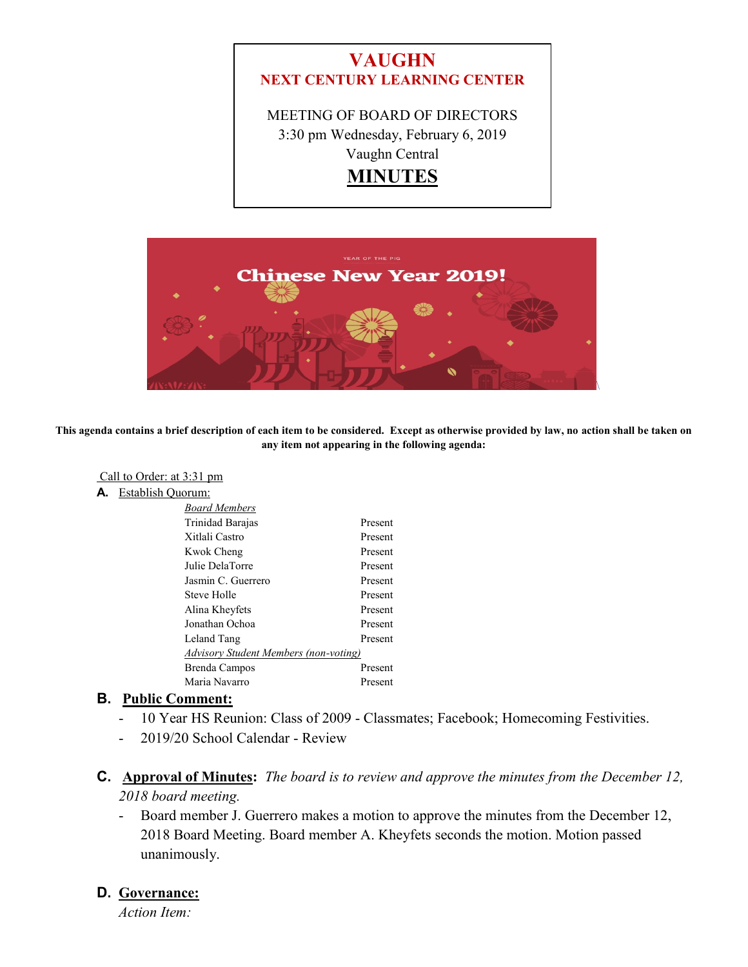



**This agenda contains a brief description of each item to be considered. Except as otherwise provided by law, no action shall be taken on any item not appearing in the following agenda:**

- Call to Order: at 3:31 pm
- **A.** Establish Quorum:

| <b>Board Members</b>                  |         |
|---------------------------------------|---------|
| Trinidad Barajas                      | Present |
| Xitlali Castro                        | Present |
| Kwok Cheng                            | Present |
| Julie DelaTorre                       | Present |
| Jasmin C. Guerrero                    | Present |
| Steve Holle                           | Present |
| Alina Kheyfets                        | Present |
| Jonathan Ochoa                        | Present |
| Leland Tang                           | Present |
| Advisory Student Members (non-voting) |         |
| Brenda Campos                         | Present |
| Maria Navarro                         | Present |

#### **B. Public Comment:**

- 10 Year HS Reunion: Class of 2009 Classmates; Facebook; Homecoming Festivities.
- 2019/20 School Calendar Review
- **C. Approval of Minutes:** *The board is to review and approve the minutes from the December 12, 2018 board meeting.*
	- Board member J. Guerrero makes a motion to approve the minutes from the December 12, 2018 Board Meeting. Board member A. Kheyfets seconds the motion. Motion passed unanimously.

#### **D. Governance:**

*Action Item:*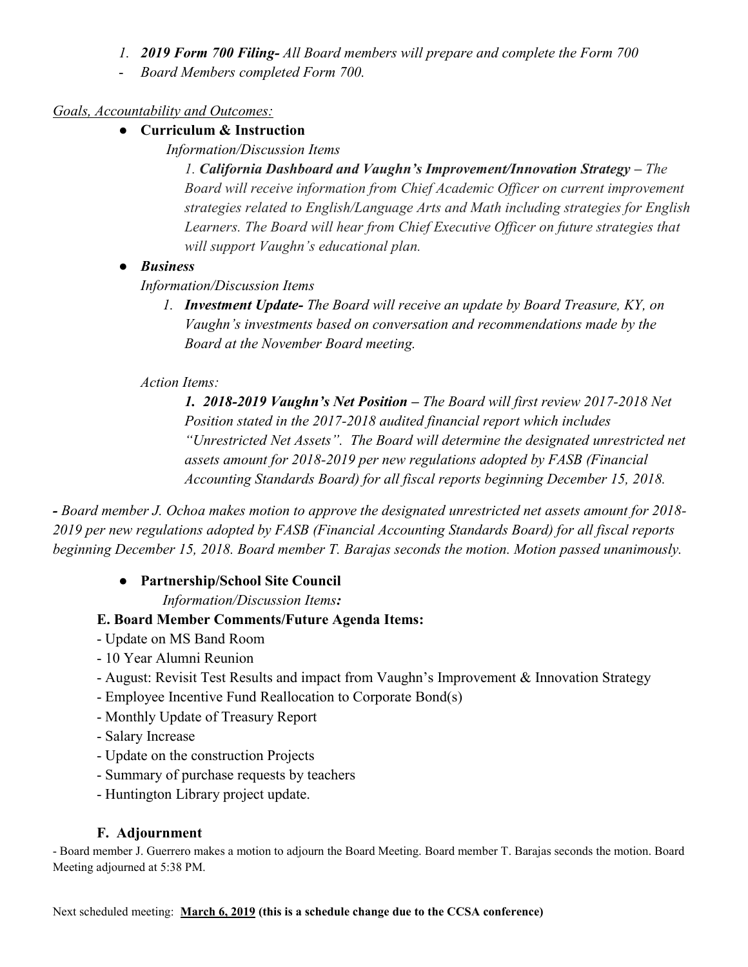- *1. 2019 Form 700 Filing- All Board members will prepare and complete the Form 700*
- *Board Members completed Form 700.*

# *Goals, Accountability and Outcomes:*

- **Curriculum & Instruction**
	- *Information/Discussion Items*

*1. California Dashboard and Vaughn's Improvement/Innovation Strategy – The Board will receive information from Chief Academic Officer on current improvement strategies related to English/Language Arts and Math including strategies for English Learners. The Board will hear from Chief Executive Officer on future strategies that will support Vaughn's educational plan.*

● *Business*

*Information/Discussion Items* 

*1. Investment Update- The Board will receive an update by Board Treasure, KY, on Vaughn's investments based on conversation and recommendations made by the Board at the November Board meeting.*

## *Action Items:*

*1. 2018-2019 Vaughn's Net Position – The Board will first review 2017-2018 Net Position stated in the 2017-2018 audited financial report which includes "Unrestricted Net Assets". The Board will determine the designated unrestricted net assets amount for 2018-2019 per new regulations adopted by FASB (Financial Accounting Standards Board) for all fiscal reports beginning December 15, 2018.*

*- Board member J. Ochoa makes motion to approve the designated unrestricted net assets amount for 2018- 2019 per new regulations adopted by FASB (Financial Accounting Standards Board) for all fiscal reports beginning December 15, 2018. Board member T. Barajas seconds the motion. Motion passed unanimously.*

## ● **Partnership/School Site Council**

 *Information/Discussion Items:*

## **E. Board Member Comments/Future Agenda Items:**

- Update on MS Band Room
- 10 Year Alumni Reunion
- August: Revisit Test Results and impact from Vaughn's Improvement & Innovation Strategy
- Employee Incentive Fund Reallocation to Corporate Bond(s)
- Monthly Update of Treasury Report
- Salary Increase
- Update on the construction Projects
- Summary of purchase requests by teachers
- Huntington Library project update.

## **F. Adjournment**

- Board member J. Guerrero makes a motion to adjourn the Board Meeting. Board member T. Barajas seconds the motion. Board Meeting adjourned at 5:38 PM.

Next scheduled meeting: **March 6, 2019 (this is a schedule change due to the CCSA conference)**